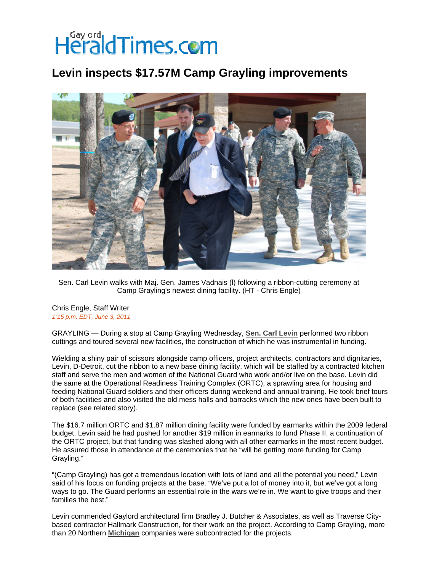## HeraldTimes.com

## **Levin inspects \$17.57M Camp Grayling improvements**



Sen. Carl Levin walks with Maj. Gen. James Vadnais (l) following a ribbon-cutting ceremony at Camp Grayling's newest dining facility. (HT - Chris Engle)

## Chris Engle, Staff Writer *1:15 p.m. EDT, June 3, 2011*

GRAYLING — During a stop at Camp Grayling Wednesday, **[Sen. Carl Levin](http://www.petoskeynews.com/topic/politics/carl-levin-PEPLT003901.topic)** performed two ribbon cuttings and toured several new facilities, the construction of which he was instrumental in funding.

Wielding a shiny pair of scissors alongside camp officers, project architects, contractors and dignitaries, Levin, D-Detroit, cut the ribbon to a new base dining facility, which will be staffed by a contracted kitchen staff and serve the men and women of the National Guard who work and/or live on the base. Levin did the same at the Operational Readiness Training Complex (ORTC), a sprawling area for housing and feeding National Guard soldiers and their officers during weekend and annual training. He took brief tours of both facilities and also visited the old mess halls and barracks which the new ones have been built to replace (see related story).

The \$16.7 million ORTC and \$1.87 million dining facility were funded by earmarks within the 2009 federal budget. Levin said he had pushed for another \$19 million in earmarks to fund Phase II, a continuation of the ORTC project, but that funding was slashed along with all other earmarks in the most recent budget. He assured those in attendance at the ceremonies that he "will be getting more funding for Camp Grayling."

"(Camp Grayling) has got a tremendous location with lots of land and all the potential you need," Levin said of his focus on funding projects at the base. "We've put a lot of money into it, but we've got a long ways to go. The Guard performs an essential role in the wars we're in. We want to give troops and their families the best."

Levin commended Gaylord architectural firm Bradley J. Butcher & Associates, as well as Traverse Citybased contractor Hallmark Construction, for their work on the project. According to Camp Grayling, more than 20 Northern **[Michigan](http://www.petoskeynews.com/topic/us/michigan-PLGEO100102800000000.topic)** companies were subcontracted for the projects.